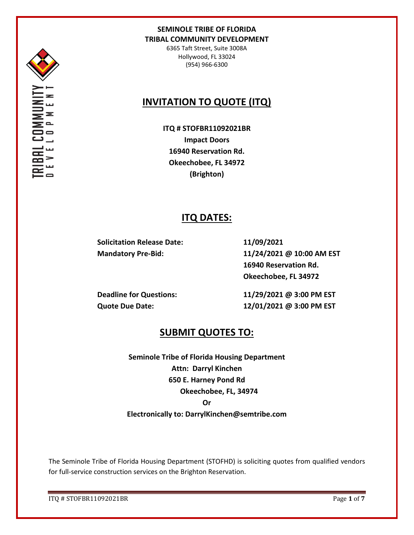

6365 Taft Street, Suite 3008A Hollywood, FL 33024 (954) 966-6300

## **INVITATION TO QUOTE (ITQ)**

**ITQ # STOFBR11092021BR Impact Doors 16940 Reservation Rd. Okeechobee, FL 34972 (Brighton)**

## **ITQ DATES:**

**Solicitation Release Date: 11/09/2021**

**Mandatory Pre-Bid: 11/24/2021 @ 10:00 AM EST 16940 Reservation Rd. Okeechobee, FL 34972**

**Deadline for Questions: 11/29/2021 @ 3:00 PM EST Quote Due Date: 12/01/2021 @ 3:00 PM EST**

## **SUBMIT QUOTES TO:**

**Seminole Tribe of Florida Housing Department Attn: Darryl Kinchen 650 E. Harney Pond Rd Okeechobee, FL, 34974 Or Electronically to: DarrylKinchen@semtribe.com**

The Seminole Tribe of Florida Housing Department (STOFHD) is soliciting quotes from qualified vendors for full-service construction services on the Brighton Reservation.

ITQ # STOFBR11092021BR Page **1** of **7**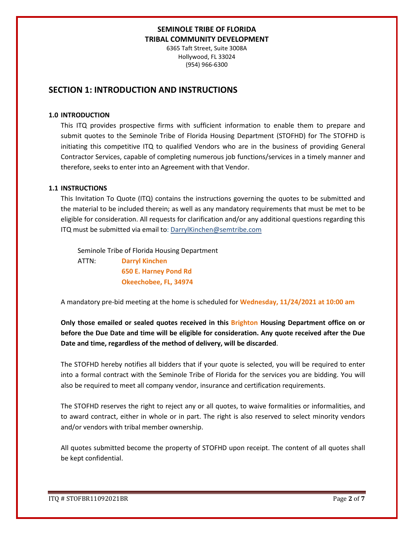6365 Taft Street, Suite 3008A Hollywood, FL 33024 (954) 966-6300

## **SECTION 1: INTRODUCTION AND INSTRUCTIONS**

#### **1.0 INTRODUCTION**

This ITQ provides prospective firms with sufficient information to enable them to prepare and submit quotes to the Seminole Tribe of Florida Housing Department (STOFHD) for The STOFHD is initiating this competitive ITQ to qualified Vendors who are in the business of providing General Contractor Services, capable of completing numerous job functions/services in a timely manner and therefore, seeks to enter into an Agreement with that Vendor.

#### **1.1 INSTRUCTIONS**

This Invitation To Quote (ITQ) contains the instructions governing the quotes to be submitted and the material to be included therein; as well as any mandatory requirements that must be met to be eligible for consideration. All requests for clarification and/or any additional questions regarding this ITQ must be submitted via email to: DarrylKinchen@semtribe.com

 Seminole Tribe of Florida Housing Department ATTN: **Darryl Kinchen**

 **650 E. Harney Pond Rd Okeechobee, FL, 34974**

A mandatory pre-bid meeting at the home is scheduled for **Wednesday, 11/24/2021 at 10:00 am**

**Only those emailed or sealed quotes received in this Brighton Housing Department office on or before the Due Date and time will be eligible for consideration. Any quote received after the Due Date and time, regardless of the method of delivery, will be discarded**.

The STOFHD hereby notifies all bidders that if your quote is selected, you will be required to enter into a formal contract with the Seminole Tribe of Florida for the services you are bidding. You will also be required to meet all company vendor, insurance and certification requirements.

The STOFHD reserves the right to reject any or all quotes, to waive formalities or informalities, and to award contract, either in whole or in part. The right is also reserved to select minority vendors and/or vendors with tribal member ownership.

All quotes submitted become the property of STOFHD upon receipt. The content of all quotes shall be kept confidential.

ITQ # STOFBR11092021BR Page **2** of **7**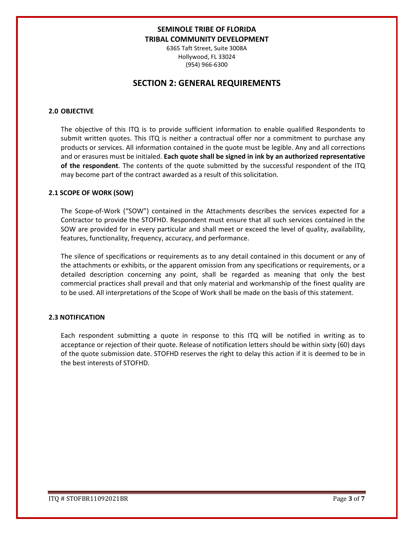6365 Taft Street, Suite 3008A Hollywood, FL 33024 (954) 966-6300

## **SECTION 2: GENERAL REQUIREMENTS**

### **2.0 OBJECTIVE**

The objective of this ITQ is to provide sufficient information to enable qualified Respondents to submit written quotes. This ITQ is neither a contractual offer nor a commitment to purchase any products or services. All information contained in the quote must be legible. Any and all corrections and or erasures must be initialed. **Each quote shall be signed in ink by an authorized representative of the respondent**. The contents of the quote submitted by the successful respondent of the ITQ may become part of the contract awarded as a result of this solicitation.

#### **2.1 SCOPE OF WORK (SOW)**

The Scope-of-Work ("SOW") contained in the Attachments describes the services expected for a Contractor to provide the STOFHD. Respondent must ensure that all such services contained in the SOW are provided for in every particular and shall meet or exceed the level of quality, availability, features, functionality, frequency, accuracy, and performance.

The silence of specifications or requirements as to any detail contained in this document or any of the attachments or exhibits, or the apparent omission from any specifications or requirements, or a detailed description concerning any point, shall be regarded as meaning that only the best commercial practices shall prevail and that only material and workmanship of the finest quality are to be used. All interpretations of the Scope of Work shall be made on the basis of this statement.

### **2.3 NOTIFICATION**

Each respondent submitting a quote in response to this ITQ will be notified in writing as to acceptance or rejection of their quote. Release of notification letters should be within sixty (60) days of the quote submission date. STOFHD reserves the right to delay this action if it is deemed to be in the best interests of STOFHD.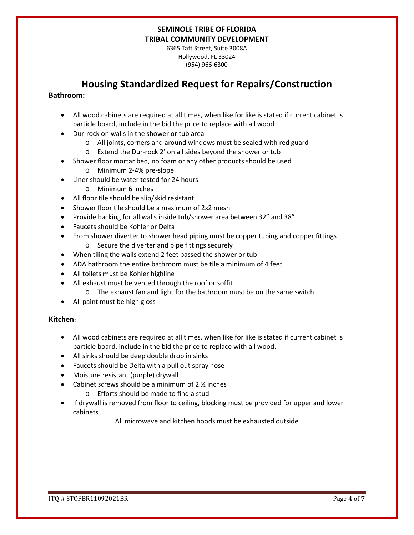6365 Taft Street, Suite 3008A Hollywood, FL 33024 (954) 966-6300

## **Housing Standardized Request for Repairs/Construction**

### **Bathroom:**

- All wood cabinets are required at all times, when like for like is stated if current cabinet is particle board, include in the bid the price to replace with all wood
- Dur-rock on walls in the shower or tub area
	- o All joints, corners and around windows must be sealed with red guard
	- o Extend the Dur-rock 2' on all sides beyond the shower or tub
- Shower floor mortar bed, no foam or any other products should be used
	- o Minimum 2-4% pre-slope
- Liner should be water tested for 24 hours
	- o Minimum 6 inches
- All floor tile should be slip/skid resistant
- Shower floor tile should be a maximum of 2x2 mesh
- Provide backing for all walls inside tub/shower area between 32" and 38"
- Faucets should be Kohler or Delta
- From shower diverter to shower head piping must be copper tubing and copper fittings o Secure the diverter and pipe fittings securely
- When tiling the walls extend 2 feet passed the shower or tub
- ADA bathroom the entire bathroom must be tile a minimum of 4 feet
- All toilets must be Kohler highline
- All exhaust must be vented through the roof or soffit
	- o The exhaust fan and light for the bathroom must be on the same switch
- All paint must be high gloss

### **Kitchen:**

- All wood cabinets are required at all times, when like for like is stated if current cabinet is particle board, include in the bid the price to replace with all wood.
- All sinks should be deep double drop in sinks
- Faucets should be Delta with a pull out spray hose
- Moisture resistant (purple) drywall
- Cabinet screws should be a minimum of  $2 \frac{1}{2}$  inches
	- o Efforts should be made to find a stud
- If drywall is removed from floor to ceiling, blocking must be provided for upper and lower cabinets

All microwave and kitchen hoods must be exhausted outside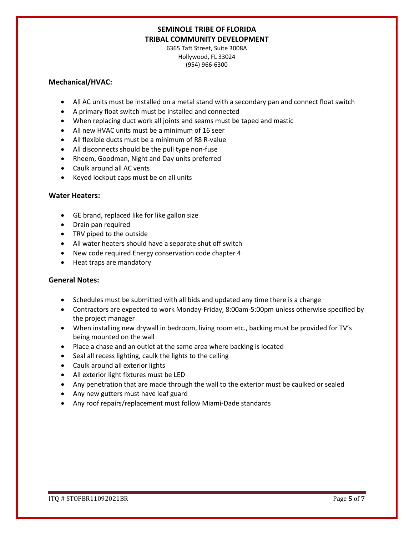6365 Taft Street, Suite 3008A Hollywood, FL 33024 (954) 966-6300

### **Mechanical/HVAC:**

- All AC units must be installed on a metal stand with a secondary pan and connect float switch
- A primary float switch must be installed and connected
- When replacing duct work all joints and seams must be taped and mastic
- All new HVAC units must be a minimum of 16 seer
- All flexible ducts must be a minimum of R8 R-value
- All disconnects should be the pull type non-fuse
- Rheem, Goodman, Night and Day units preferred
- Caulk around all AC vents
- Keyed lockout caps must be on all units

### **Water Heaters:**

- GE brand, replaced like for like gallon size
- Drain pan required
- TRV piped to the outside
- All water heaters should have a separate shut off switch
- New code required Energy conservation code chapter 4
- Heat traps are mandatory

### **General Notes:**

- Schedules must be submitted with all bids and updated any time there is a change
- Contractors are expected to work Monday-Friday, 8:00am-5:00pm unless otherwise specified by the project manager
- When installing new drywall in bedroom, living room etc., backing must be provided for TV's being mounted on the wall
- Place a chase and an outlet at the same area where backing is located
- Seal all recess lighting, caulk the lights to the ceiling
- Caulk around all exterior lights
- All exterior light fixtures must be LED
- Any penetration that are made through the wall to the exterior must be caulked or sealed
- Any new gutters must have leaf guard
- Any roof repairs/replacement must follow Miami-Dade standards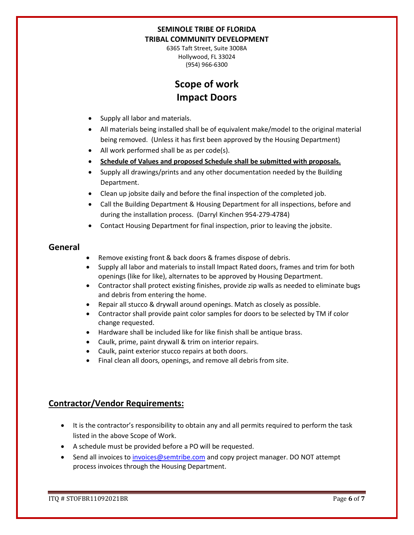6365 Taft Street, Suite 3008A Hollywood, FL 33024 (954) 966-6300

# **Scope of work Impact Doors**

- Supply all labor and materials.
- All materials being installed shall be of equivalent make/model to the original material being removed. (Unless it has first been approved by the Housing Department)
- All work performed shall be as per code(s).
- **Schedule of Values and proposed Schedule shall be submitted with proposals.**
- Supply all drawings/prints and any other documentation needed by the Building Department.
- Clean up jobsite daily and before the final inspection of the completed job.
- Call the Building Department & Housing Department for all inspections, before and during the installation process. (Darryl Kinchen 954-279-4784)
- Contact Housing Department for final inspection, prior to leaving the jobsite.

### **General**

- Remove existing front & back doors & frames dispose of debris.
- Supply all labor and materials to install Impact Rated doors, frames and trim for both openings (like for like), alternates to be approved by Housing Department.
- Contractor shall protect existing finishes, provide zip walls as needed to eliminate bugs and debris from entering the home.
- Repair all stucco & drywall around openings. Match as closely as possible.
- Contractor shall provide paint color samples for doors to be selected by TM if color change requested.
- Hardware shall be included like for like finish shall be antique brass.
- Caulk, prime, paint drywall & trim on interior repairs.
- Caulk, paint exterior stucco repairs at both doors.
- Final clean all doors, openings, and remove all debris from site.

## **Contractor/Vendor Requirements:**

- It is the contractor's responsibility to obtain any and all permits required to perform the task listed in the above Scope of Work.
- A schedule must be provided before a PO will be requested.
- Send all invoices to [invoices@semtribe.com](mailto:invoices@semtribe.com) and copy project manager. DO NOT attempt process invoices through the Housing Department.